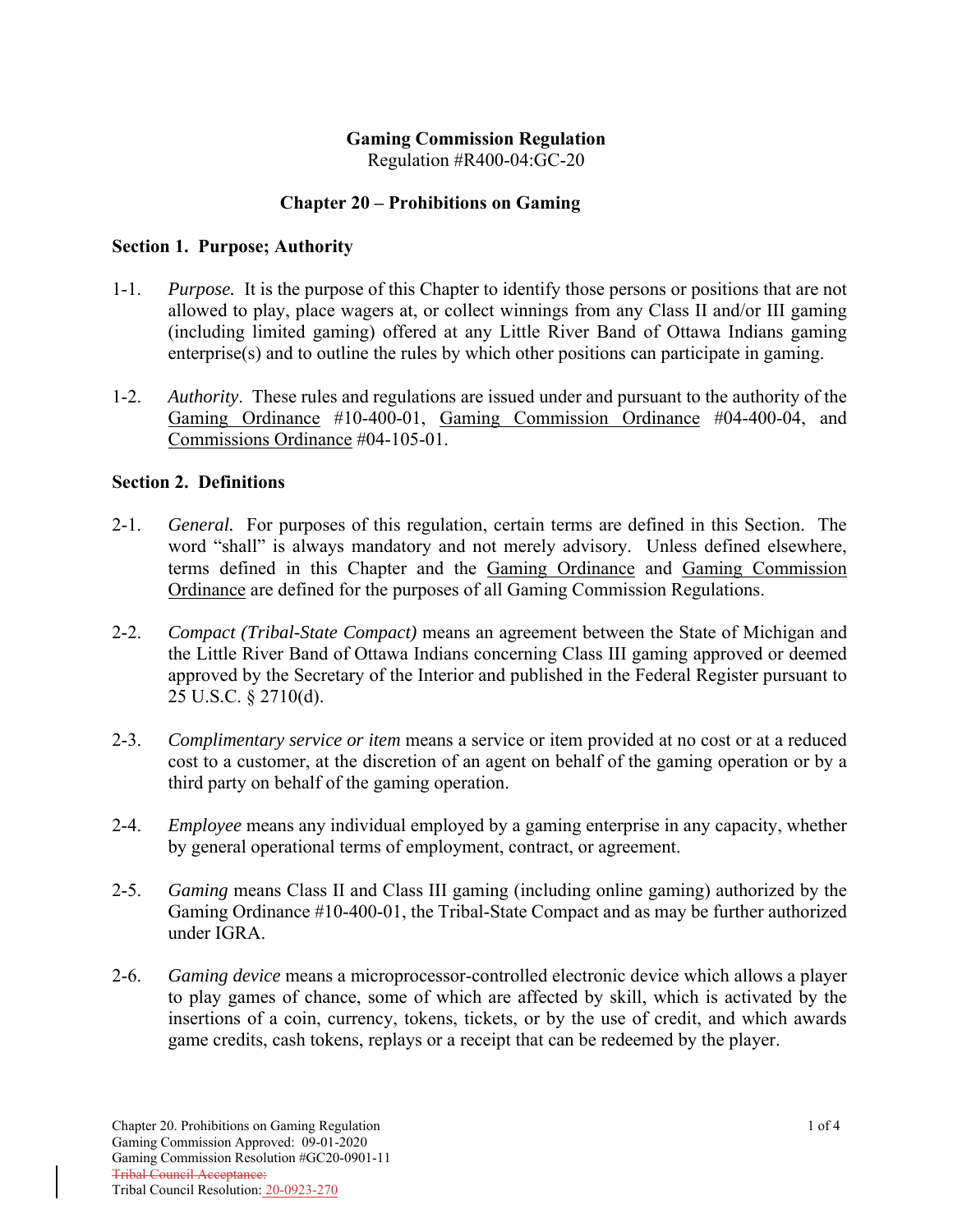### **Gaming Commission Regulation**

Regulation #R400-04:GC-20

#### **Chapter 20 – Prohibitions on Gaming**

#### **Section 1. Purpose; Authority**

- 1-1. *Purpose.* It is the purpose of this Chapter to identify those persons or positions that are not allowed to play, place wagers at, or collect winnings from any Class II and/or III gaming (including limited gaming) offered at any Little River Band of Ottawa Indians gaming enterprise(s) and to outline the rules by which other positions can participate in gaming.
- 1-2. *Authority*. These rules and regulations are issued under and pursuant to the authority of the Gaming Ordinance #10-400-01, Gaming Commission Ordinance #04-400-04, and Commissions Ordinance #04-105-01.

#### **Section 2. Definitions**

- 2-1. *General.* For purposes of this regulation, certain terms are defined in this Section. The word "shall" is always mandatory and not merely advisory. Unless defined elsewhere, terms defined in this Chapter and the Gaming Ordinance and Gaming Commission Ordinance are defined for the purposes of all Gaming Commission Regulations.
- 2-2. *Compact (Tribal-State Compact)* means an agreement between the State of Michigan and the Little River Band of Ottawa Indians concerning Class III gaming approved or deemed approved by the Secretary of the Interior and published in the Federal Register pursuant to 25 U.S.C. § 2710(d).
- 2-3. *Complimentary service or item* means a service or item provided at no cost or at a reduced cost to a customer, at the discretion of an agent on behalf of the gaming operation or by a third party on behalf of the gaming operation.
- 2-4. *Employee* means any individual employed by a gaming enterprise in any capacity, whether by general operational terms of employment, contract, or agreement.
- 2-5. *Gaming* means Class II and Class III gaming (including online gaming) authorized by the Gaming Ordinance #10-400-01, the Tribal-State Compact and as may be further authorized under IGRA.
- 2-6. *Gaming device* means a microprocessor-controlled electronic device which allows a player to play games of chance, some of which are affected by skill, which is activated by the insertions of a coin, currency, tokens, tickets, or by the use of credit, and which awards game credits, cash tokens, replays or a receipt that can be redeemed by the player.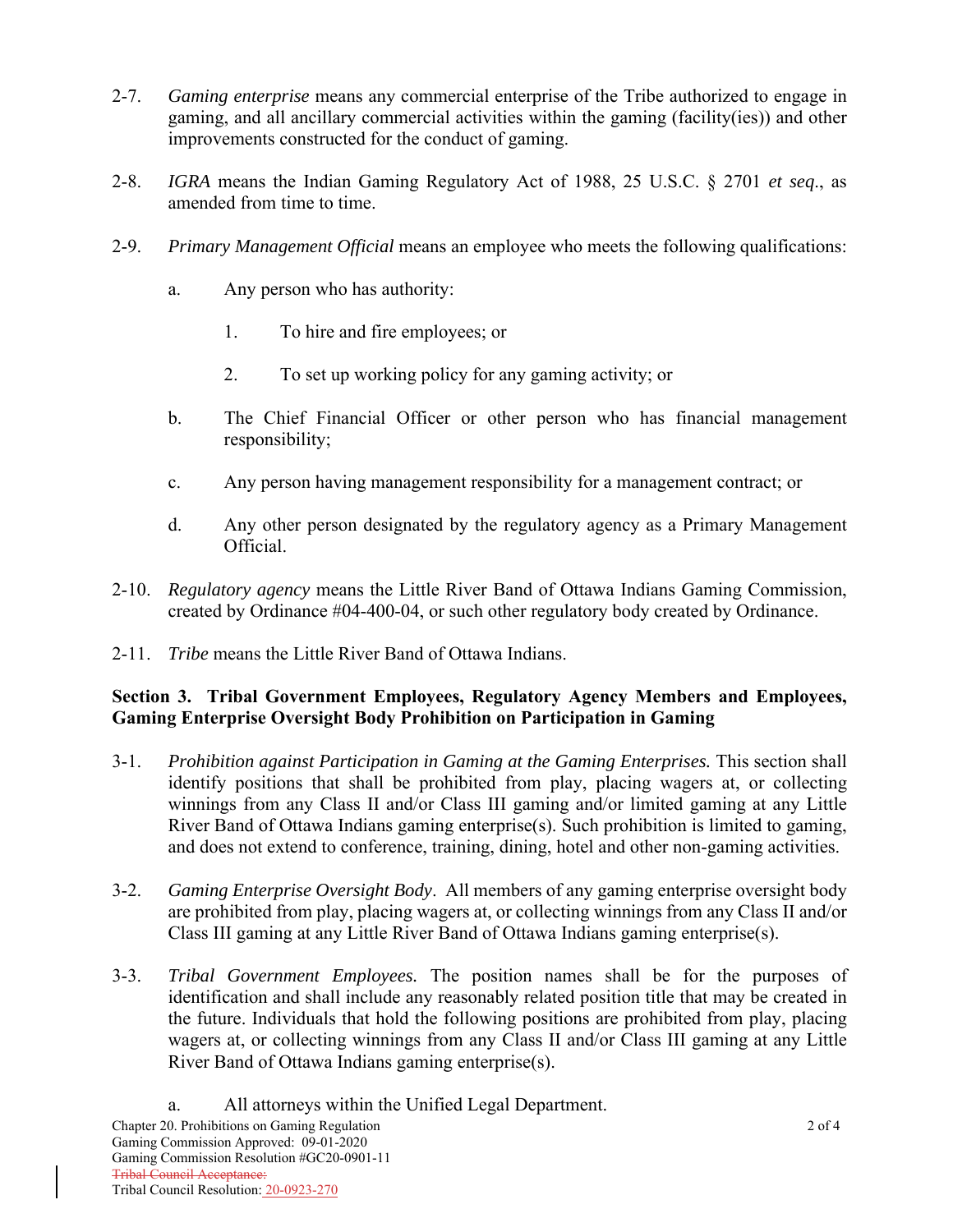- 2-7. *Gaming enterprise* means any commercial enterprise of the Tribe authorized to engage in gaming, and all ancillary commercial activities within the gaming (facility(ies)) and other improvements constructed for the conduct of gaming.
- 2-8. *IGRA* means the Indian Gaming Regulatory Act of 1988, 25 U.S.C. § 2701 *et seq*., as amended from time to time.
- 2-9. *Primary Management Official* means an employee who meets the following qualifications:
	- a. Any person who has authority:
		- 1. To hire and fire employees; or
		- 2. To set up working policy for any gaming activity; or
	- b. The Chief Financial Officer or other person who has financial management responsibility;
	- c. Any person having management responsibility for a management contract; or
	- d. Any other person designated by the regulatory agency as a Primary Management Official.
- 2-10. *Regulatory agency* means the Little River Band of Ottawa Indians Gaming Commission, created by Ordinance #04-400-04, or such other regulatory body created by Ordinance.
- 2-11. *Tribe* means the Little River Band of Ottawa Indians.

# **Section 3. Tribal Government Employees, Regulatory Agency Members and Employees, Gaming Enterprise Oversight Body Prohibition on Participation in Gaming**

- 3-1. *Prohibition against Participation in Gaming at the Gaming Enterprises.* This section shall identify positions that shall be prohibited from play, placing wagers at, or collecting winnings from any Class II and/or Class III gaming and/or limited gaming at any Little River Band of Ottawa Indians gaming enterprise(s). Such prohibition is limited to gaming, and does not extend to conference, training, dining, hotel and other non-gaming activities.
- 3-2. *Gaming Enterprise Oversight Body*. All members of any gaming enterprise oversight body are prohibited from play, placing wagers at, or collecting winnings from any Class II and/or Class III gaming at any Little River Band of Ottawa Indians gaming enterprise(s).
- 3-3. *Tribal Government Employees.* The position names shall be for the purposes of identification and shall include any reasonably related position title that may be created in the future. Individuals that hold the following positions are prohibited from play, placing wagers at, or collecting winnings from any Class II and/or Class III gaming at any Little River Band of Ottawa Indians gaming enterprise(s).
	- a. All attorneys within the Unified Legal Department.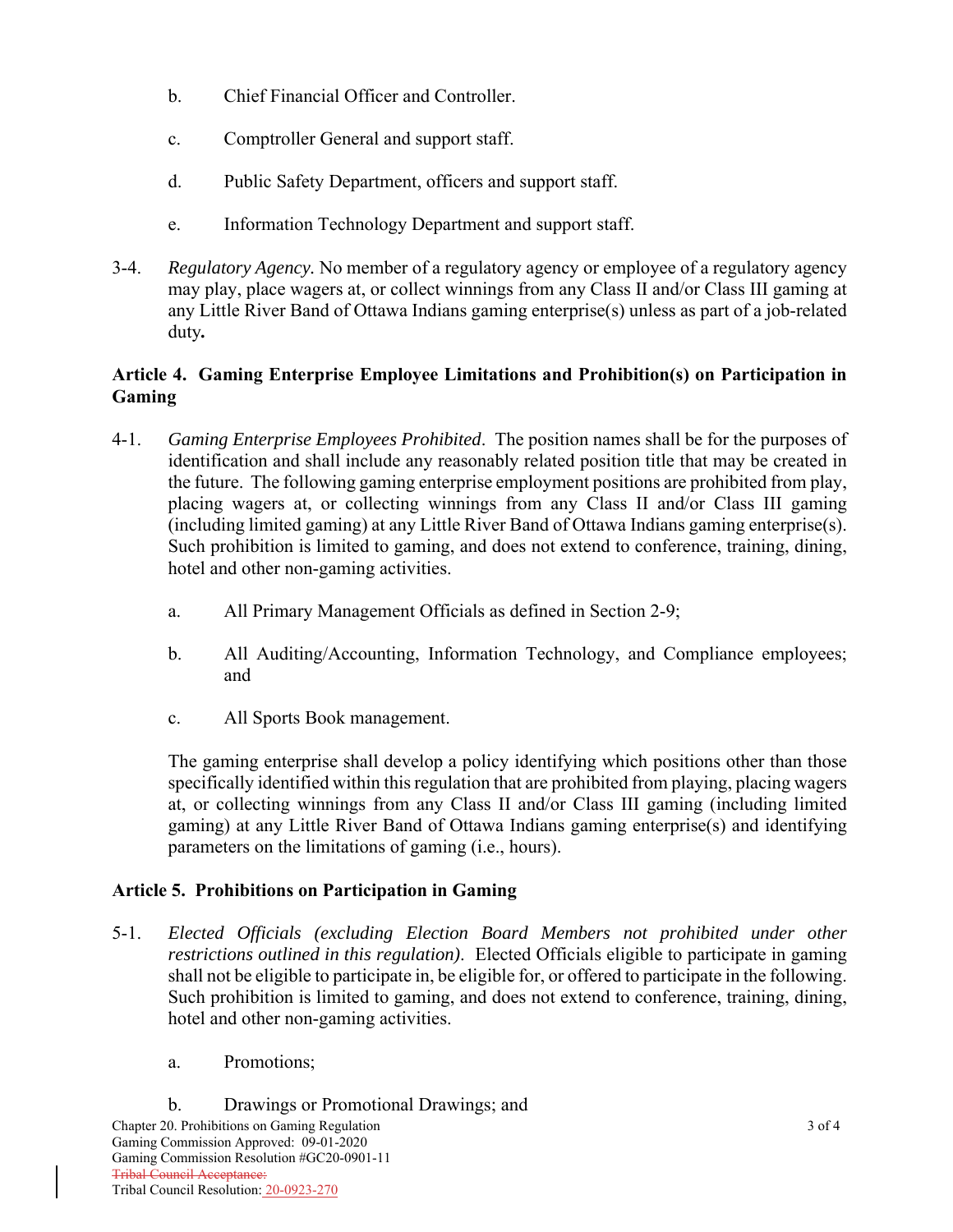- b. Chief Financial Officer and Controller.
- c. Comptroller General and support staff.
- d. Public Safety Department, officers and support staff.
- e. Information Technology Department and support staff.
- 3-4. *Regulatory Agency.* No member of a regulatory agency or employee of a regulatory agency may play, place wagers at, or collect winnings from any Class II and/or Class III gaming at any Little River Band of Ottawa Indians gaming enterprise(s) unless as part of a job-related duty*.*

## **Article 4. Gaming Enterprise Employee Limitations and Prohibition(s) on Participation in Gaming**

- 4-1. *Gaming Enterprise Employees Prohibited*. The position names shall be for the purposes of identification and shall include any reasonably related position title that may be created in the future. The following gaming enterprise employment positions are prohibited from play, placing wagers at, or collecting winnings from any Class II and/or Class III gaming (including limited gaming) at any Little River Band of Ottawa Indians gaming enterprise(s). Such prohibition is limited to gaming, and does not extend to conference, training, dining, hotel and other non-gaming activities.
	- a. All Primary Management Officials as defined in Section 2-9;
	- b. All Auditing/Accounting, Information Technology, and Compliance employees; and
	- c. All Sports Book management.

The gaming enterprise shall develop a policy identifying which positions other than those specifically identified within this regulation that are prohibited from playing, placing wagers at, or collecting winnings from any Class II and/or Class III gaming (including limited gaming) at any Little River Band of Ottawa Indians gaming enterprise(s) and identifying parameters on the limitations of gaming (i.e., hours).

## **Article 5. Prohibitions on Participation in Gaming**

- 5-1. *Elected Officials (excluding Election Board Members not prohibited under other restrictions outlined in this regulation)*. Elected Officials eligible to participate in gaming shall not be eligible to participate in, be eligible for, or offered to participate in the following. Such prohibition is limited to gaming, and does not extend to conference, training, dining, hotel and other non-gaming activities.
	- a. Promotions;
- Chapter 20. Prohibitions on Gaming Regulation 3 of 4 Gaming Commission Approved: 09-01-2020 Gaming Commission Resolution #GC20-0901-11 Tribal Council Acceptance: Tribal Council Resolution: 20-0923-270 b. Drawings or Promotional Drawings; and